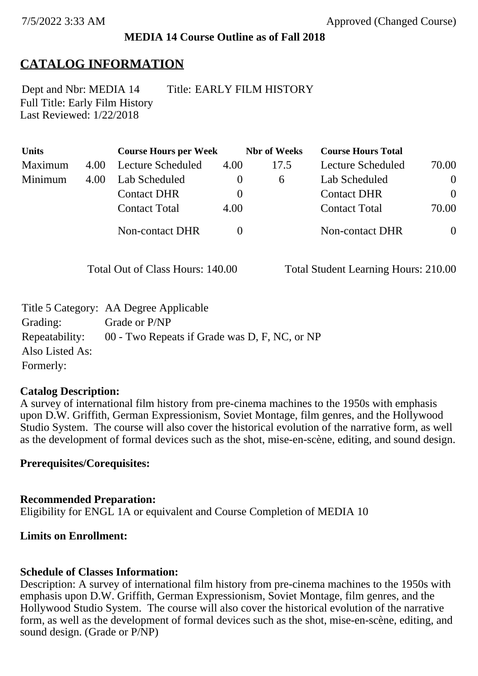### **MEDIA 14 Course Outline as of Fall 2018**

## **CATALOG INFORMATION**

Full Title: Early Film History Last Reviewed: 1/22/2018 Dept and Nbr: MEDIA 14 Title: EARLY FILM HISTORY

| <b>Units</b> |      | <b>Course Hours per Week</b> |          | <b>Nbr</b> of Weeks | <b>Course Hours Total</b> |                |
|--------------|------|------------------------------|----------|---------------------|---------------------------|----------------|
| Maximum      | 4.00 | Lecture Scheduled            | 4.00     | 17.5                | Lecture Scheduled         | 70.00          |
| Minimum      | 4.00 | Lab Scheduled                | $\theta$ | <sub>6</sub>        | Lab Scheduled             | $\theta$       |
|              |      | <b>Contact DHR</b>           | $\theta$ |                     | <b>Contact DHR</b>        | $\theta$       |
|              |      | <b>Contact Total</b>         | 4.00     |                     | <b>Contact Total</b>      | 70.00          |
|              |      | Non-contact DHR              |          |                     | <b>Non-contact DHR</b>    | $\overline{0}$ |

Total Out of Class Hours: 140.00 Total Student Learning Hours: 210.00

|                 | Title 5 Category: AA Degree Applicable        |
|-----------------|-----------------------------------------------|
| Grading:        | Grade or P/NP                                 |
| Repeatability:  | 00 - Two Repeats if Grade was D, F, NC, or NP |
| Also Listed As: |                                               |
| Formerly:       |                                               |

#### **Catalog Description:**

A survey of international film history from pre-cinema machines to the 1950s with emphasis upon D.W. Griffith, German Expressionism, Soviet Montage, film genres, and the Hollywood Studio System. The course will also cover the historical evolution of the narrative form, as well as the development of formal devices such as the shot, mise-en-scène, editing, and sound design.

#### **Prerequisites/Corequisites:**

**Recommended Preparation:** Eligibility for ENGL 1A or equivalent and Course Completion of MEDIA 10

### **Limits on Enrollment:**

### **Schedule of Classes Information:**

Description: A survey of international film history from pre-cinema machines to the 1950s with emphasis upon D.W. Griffith, German Expressionism, Soviet Montage, film genres, and the Hollywood Studio System. The course will also cover the historical evolution of the narrative form, as well as the development of formal devices such as the shot, mise-en-scène, editing, and sound design. (Grade or P/NP)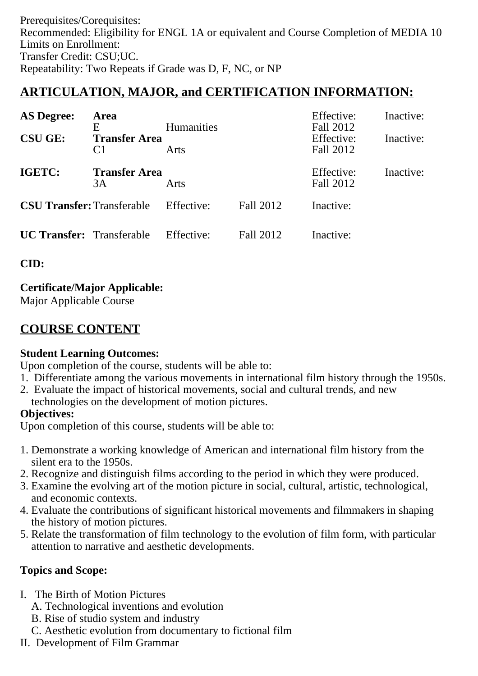Prerequisites/Corequisites: Recommended: Eligibility for ENGL 1A or equivalent and Course Completion of MEDIA 10 Limits on Enrollment: Transfer Credit: CSU;UC. Repeatability: Two Repeats if Grade was D, F, NC, or NP

# **ARTICULATION, MAJOR, and CERTIFICATION INFORMATION:**

| <b>AS Degree:</b>                 | Area                                        |                           |           | Effective:                           | Inactive: |
|-----------------------------------|---------------------------------------------|---------------------------|-----------|--------------------------------------|-----------|
| <b>CSU GE:</b>                    | E<br><b>Transfer Area</b><br>C <sub>1</sub> | <b>Humanities</b><br>Arts |           | Fall 2012<br>Effective:<br>Fall 2012 | Inactive: |
| IGETC:                            | <b>Transfer Area</b><br>3A<br>Arts          |                           |           | Effective:<br>Fall 2012              | Inactive: |
| <b>CSU Transfer: Transferable</b> |                                             | Effective:                | Fall 2012 | Inactive:                            |           |
| <b>UC Transfer:</b> Transferable  |                                             | Effective:                | Fall 2012 | Inactive:                            |           |

**CID:**

## **Certificate/Major Applicable:**

[Major Applicable Course](SR_ClassCheck.aspx?CourseKey=MEDIA14)

# **COURSE CONTENT**

### **Student Learning Outcomes:**

Upon completion of the course, students will be able to:

- 1. Differentiate among the various movements in international film history through the 1950s.
- 2. Evaluate the impact of historical movements, social and cultural trends, and new technologies on the development of motion pictures.

### **Objectives:**

Upon completion of this course, students will be able to:

- 1. Demonstrate a working knowledge of American and international film history from the silent era to the 1950s.
- 2. Recognize and distinguish films according to the period in which they were produced.
- 3. Examine the evolving art of the motion picture in social, cultural, artistic, technological, and economic contexts.
- 4. Evaluate the contributions of significant historical movements and filmmakers in shaping the history of motion pictures.
- 5. Relate the transformation of film technology to the evolution of film form, with particular attention to narrative and aesthetic developments.

## **Topics and Scope:**

- I. The Birth of Motion Pictures
	- A. Technological inventions and evolution
	- B. Rise of studio system and industry
	- C. Aesthetic evolution from documentary to fictional film
- II. Development of Film Grammar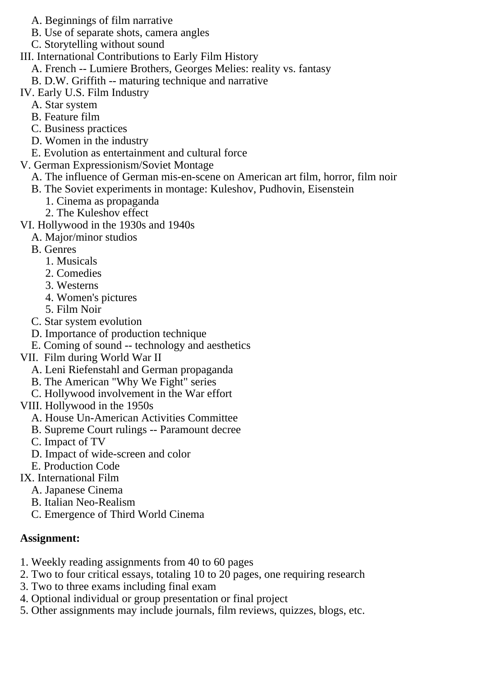- A. Beginnings of film narrative
- B. Use of separate shots, camera angles
- C. Storytelling without sound
- III. International Contributions to Early Film History
	- A. French -- Lumiere Brothers, Georges Melies: reality vs. fantasy
	- B. D.W. Griffith -- maturing technique and narrative
- IV. Early U.S. Film Industry
	- A. Star system
	- B. Feature film
	- C. Business practices
	- D. Women in the industry
	- E. Evolution as entertainment and cultural force
- V. German Expressionism/Soviet Montage
	- A. The influence of German mis-en-scene on American art film, horror, film noir
	- B. The Soviet experiments in montage: Kuleshov, Pudhovin, Eisenstein
		- 1. Cinema as propaganda
		- 2. The Kuleshov effect
- VI. Hollywood in the 1930s and 1940s
	- A. Major/minor studios
	- B. Genres
		- 1. Musicals
		- 2. Comedies
		- 3. Westerns
		- 4. Women's pictures
		- 5. Film Noir
	- C. Star system evolution
	- D. Importance of production technique
	- E. Coming of sound -- technology and aesthetics
- VII. Film during World War II
	- A. Leni Riefenstahl and German propaganda
	- B. The American "Why We Fight" series
	- C. Hollywood involvement in the War effort
- VIII. Hollywood in the 1950s
	- A. House Un-American Activities Committee
	- B. Supreme Court rulings -- Paramount decree
	- C. Impact of TV
	- D. Impact of wide-screen and color
	- E. Production Code
- IX. International Film
	- A. Japanese Cinema
		- B. Italian Neo-Realism
		- C. Emergence of Third World Cinema

## **Assignment:**

- 1. Weekly reading assignments from 40 to 60 pages
- 2. Two to four critical essays, totaling 10 to 20 pages, one requiring research
- 3. Two to three exams including final exam
- 4. Optional individual or group presentation or final project
- 5. Other assignments may include journals, film reviews, quizzes, blogs, etc.